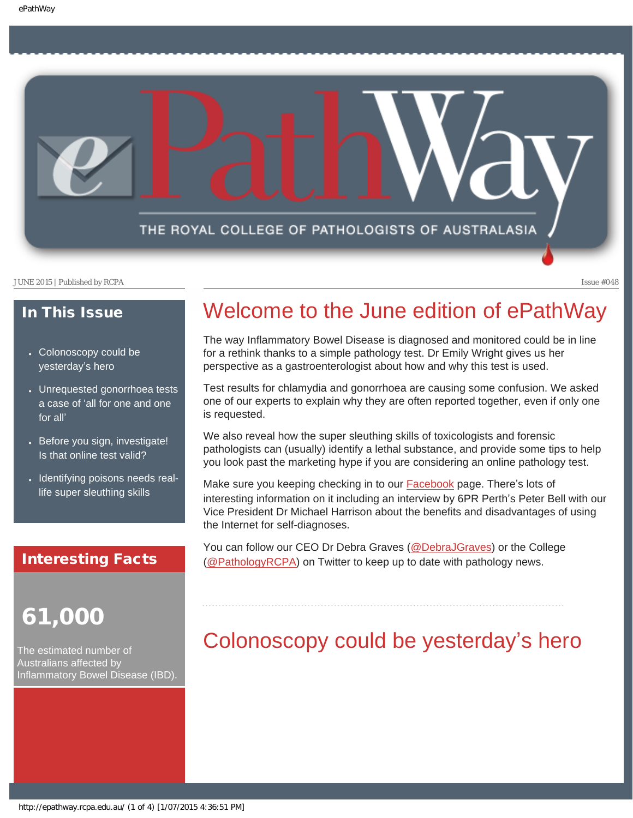

### In This Issue

- Colonoscopy could be [yesterday](#page-0-0)'s hero
- [Unrequested gonorrhoea tests](#page-1-0) a case of '[all for one and one](#page-1-0)  [for all](#page-1-0)'
- Before you sign, investigate! [Is that online test valid?](#page-2-0)
- [Identifying poisons needs real](#page-2-1)[life super sleuthing skills](#page-2-1)

### Interesting Facts

## 61,000

<span id="page-0-0"></span>The estimated number of Australians affected by Inflammatory Bowel Disease (IBD).

### Welcome to the June edition of ePathWay

The way Inflammatory Bowel Disease is diagnosed and monitored could be in line for a rethink thanks to a simple pathology test. Dr Emily Wright gives us her perspective as a gastroenterologist about how and why this test is used.

Test results for chlamydia and gonorrhoea are causing some confusion. We asked one of our experts to explain why they are often reported together, even if only one is requested.

We also reveal how the super sleuthing skills of toxicologists and forensic pathologists can (usually) identify a lethal substance, and provide some tips to help you look past the marketing hype if you are considering an online pathology test.

Make sure you keeping checking in to our [Facebook](https://www.facebook.com/TheRoyalCollegeOfPathologistsOfAustralasia) page. There's lots of interesting information on it including an interview by 6PR Perth's Peter Bell with our Vice President Dr Michael Harrison about the benefits and disadvantages of using the Internet for self-diagnoses.

You can follow our CEO Dr Debra Graves [\(@DebraJGraves\)](https://twitter.com/DebraJGraves) or the College [\(@PathologyRCPA\)](https://twitter.com/PathologyRCPA) on Twitter to keep up to date with pathology news.

## Colonoscopy could be yesterday's hero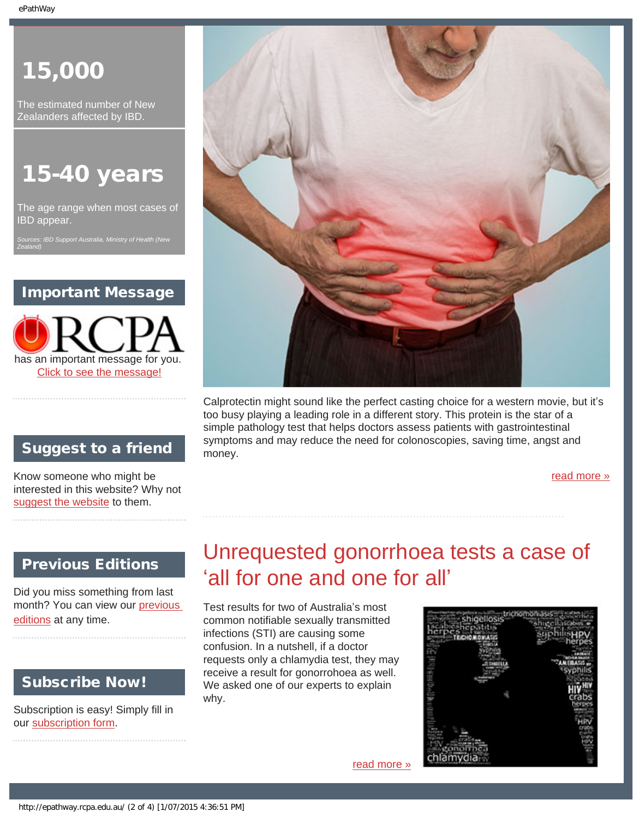# 15,000

The estimated number of New Zealanders affected by IBD.

# 15-40 years

The age range when most cases of IBD appear.

*Sources: IBD Support Australia, Ministry of Health (New Zealand)*

### Important Message

has an important message for you. [Click to see the message!](http://epathway.rcpa.edu.au/notice.html)

### Suggest to a friend

Know someone who might be interested in this website? Why not [suggest the website](mailto:?Subject=I%20think%20you%20should%20read%20this%20Newsletter=
http://epathway.rcpa.edu.au/index.html) to them.

### <span id="page-1-0"></span>Previous Editions

Did you miss something from last month? You can view our [previous](#page-4-0) [editions](#page-4-0) at any time.

### Subscribe Now!

Subscription is easy! Simply fill in our [subscription form](http://epathway.rcpa.edu.au/subscription.html).



Calprotectin might sound like the perfect casting choice for a western movie, but it's too busy playing a leading role in a different story. This protein is the star of a simple pathology test that helps doctors assess patients with gastrointestinal symptoms and may reduce the need for colonoscopies, saving time, angst and money.

[read more »](#page-6-0)

## Unrequested gonorrhoea tests a case of 'all for one and one for all'

Test results for two of Australia's most common notifiable sexually transmitted infections (STI) are causing some confusion. In a nutshell, if a doctor requests only a chlamydia test, they may receive a result for gonorrohoea as well. We asked one of our experts to explain why.

[read more »](#page-8-0)

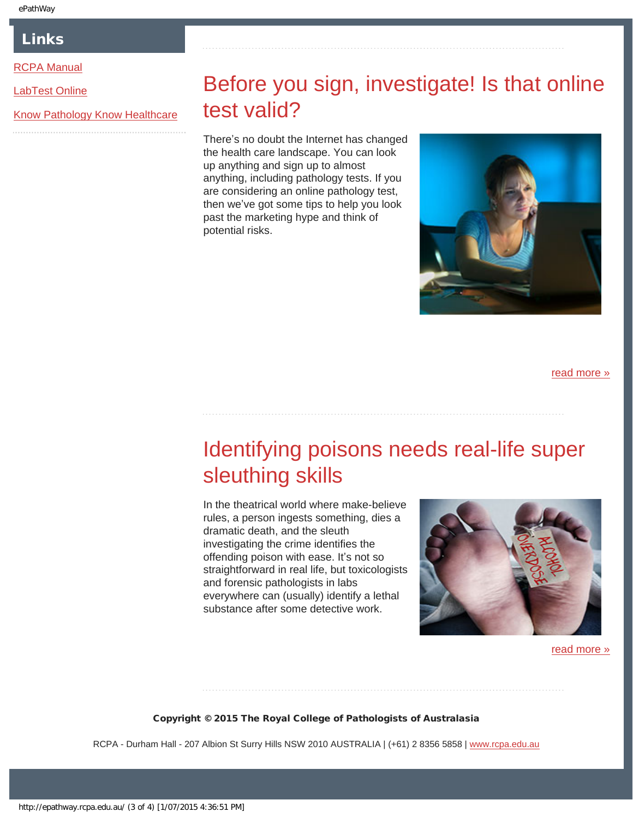### Links

### <span id="page-2-0"></span>[RCPA Manual](http://rcpamanual.edu.au/)

[LabTest Online](http://www.labtestsonline.org.au/)

[Know Pathology Know Healthcare](http://knowpathology.com.au/)

## Before you sign, investigate! Is that online test valid?

There's no doubt the Internet has changed the health care landscape. You can look up anything and sign up to almost anything, including pathology tests. If you are considering an online pathology test, then we've got some tips to help you look past the marketing hype and think of potential risks.



[read more »](#page-10-0)

## <span id="page-2-1"></span>Identifying poisons needs real-life super sleuthing skills

In the theatrical world where make-believe rules, a person ingests something, dies a dramatic death, and the sleuth investigating the crime identifies the offending poison with ease. It's not so straightforward in real life, but toxicologists and forensic pathologists in labs everywhere can (usually) identify a lethal substance after some detective work.



[read more »](#page-12-0)

#### Copyright © 2015 The Royal College of Pathologists of Australasia

RCPA - Durham Hall - 207 Albion St Surry Hills NSW 2010 AUSTRALIA | (+61) 2 8356 5858 | [www.rcpa.edu.au](http://www.rcpa.edu.au/)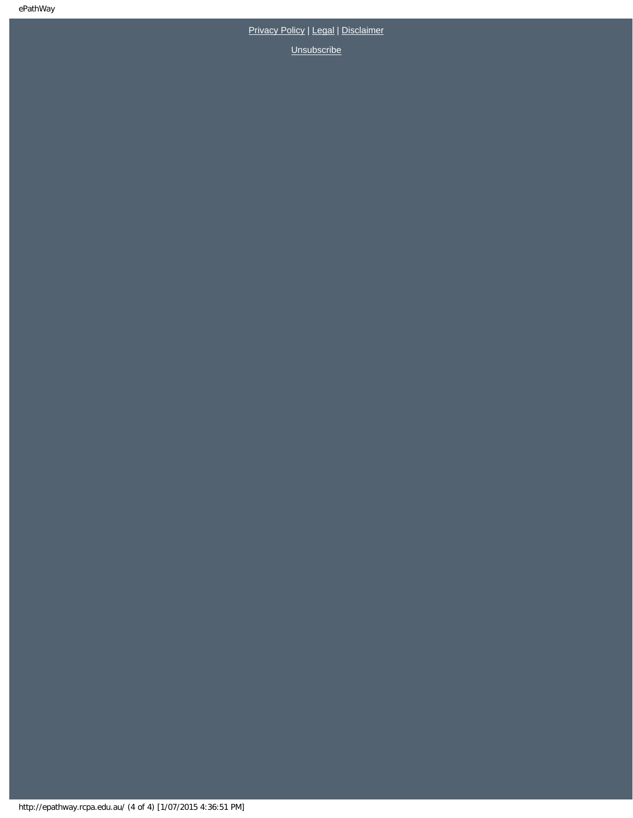[Privacy Policy](http://www.rcpa.edu.au/Content-Library/Privacy.aspx) | [Legal](http://www.rcpa.edu.au/Legal.aspx) | [Disclaimer](http://www.rcpa.edu.au/Disclaimer.aspx)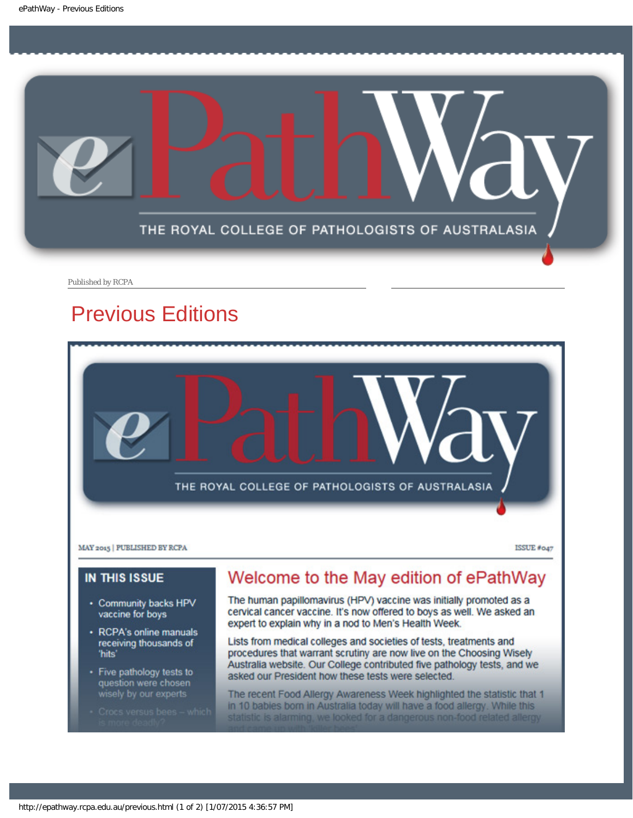<span id="page-4-0"></span>

Published by RCPA

## Previous Editions



Lists from medical colleges and societies of tests, treatments and procedures that warrant scrutiny are now live on the Choosing Wisely Australia website. Our College contributed five pathology tests, and we asked our President how these tests were selected.

The recent Food Allergy Awareness Week highlighted the statistic that 1 in 10 babies born in Australia today will have a food allergy. While this statistic is alarming, we looked for a dangerous non-food related allergy

receiving thousands of

• Five pathology tests to

question were chosen

'hits'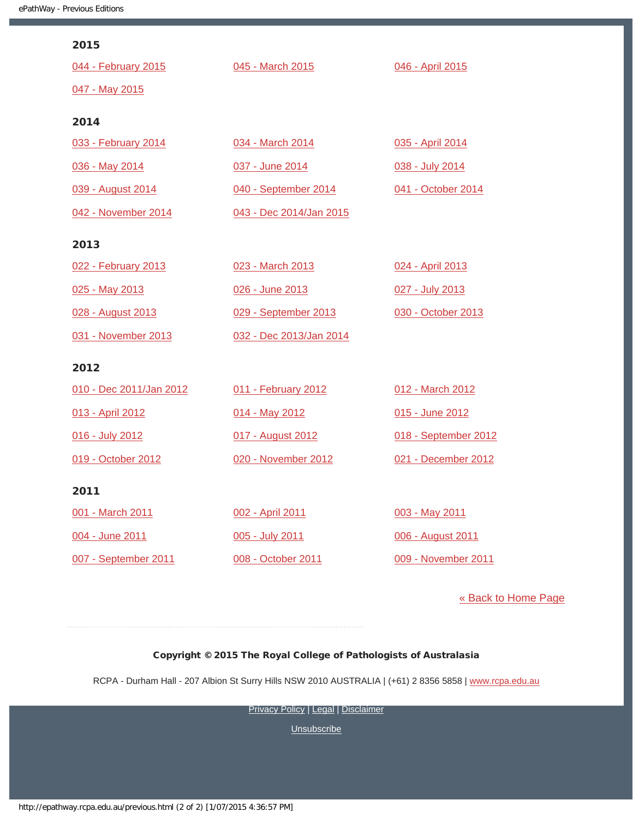| 2015                    |                         |                      |
|-------------------------|-------------------------|----------------------|
| 044 - February 2015     | 045 - March 2015        | 046 - April 2015     |
| 047 - May 2015          |                         |                      |
|                         |                         |                      |
| 2014                    |                         |                      |
| 033 - February 2014     | 034 - March 2014        | 035 - April 2014     |
| 036 - May 2014          | 037 - June 2014         | 038 - July 2014      |
| 039 - August 2014       | 040 - September 2014    | 041 - October 2014   |
| 042 - November 2014     | 043 - Dec 2014/Jan 2015 |                      |
| 2013                    |                         |                      |
|                         |                         |                      |
| 022 - February 2013     | 023 - March 2013        | 024 - April 2013     |
| 025 - May 2013          | 026 - June 2013         | 027 - July 2013      |
| 028 - August 2013       | 029 - September 2013    | 030 - October 2013   |
| 031 - November 2013     | 032 - Dec 2013/Jan 2014 |                      |
| 2012                    |                         |                      |
| 010 - Dec 2011/Jan 2012 | 011 - February 2012     | 012 - March 2012     |
| 013 - April 2012        | 014 - May 2012          | 015 - June 2012      |
| 016 - July 2012         | 017 - August 2012       | 018 - September 2012 |
| 019 - October 2012      | 020 - November 2012     | 021 - December 2012  |
|                         |                         |                      |
| 2011                    |                         |                      |
| 001 - March 2011        | 002 - April 2011        | 003 - May 2011       |
| 004 - June 2011         | 005 - July 2011         | 006 - August 2011    |
| 007 - September 2011    | 008 - October 2011      | 009 - November 2011  |
|                         |                         |                      |

[« Back to Home Page](http://epathway.rcpa.edu.au/index.html)

### Copyright © 2015 The Royal College of Pathologists of Australasia

RCPA - Durham Hall - 207 Albion St Surry Hills NSW 2010 AUSTRALIA | (+61) 2 8356 5858 | [www.rcpa.edu.au](http://www.rcpa.edu.au/)

**[Privacy Policy](http://www.rcpa.edu.au/Content-Library/Privacy.aspx) | [Legal](http://www.rcpa.edu.au/Legal.aspx) | [Disclaimer](http://www.rcpa.edu.au/Disclaimer.aspx)**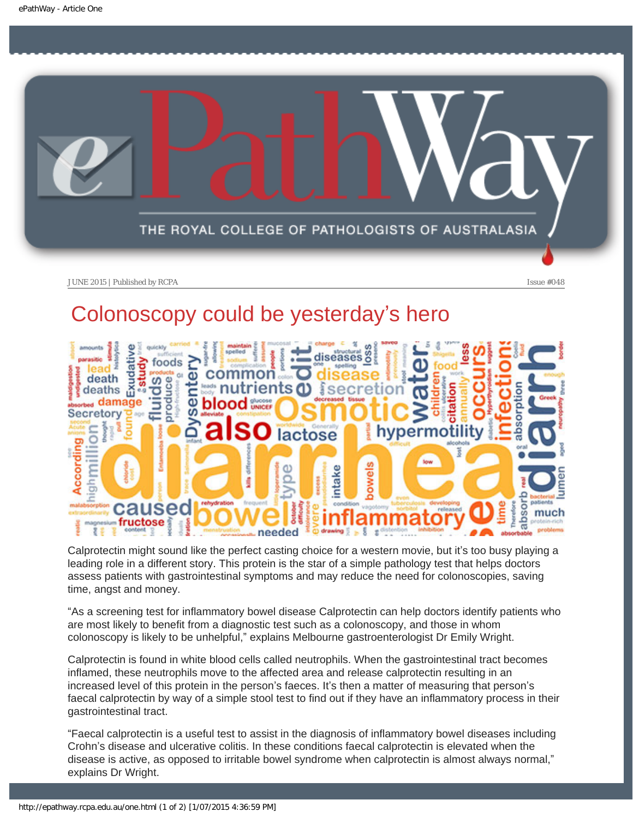<span id="page-6-0"></span>

## Colonoscopy could be yesterday's hero



Calprotectin might sound like the perfect casting choice for a western movie, but it's too busy playing a leading role in a different story. This protein is the star of a simple pathology test that helps doctors assess patients with gastrointestinal symptoms and may reduce the need for colonoscopies, saving time, angst and money.

"As a screening test for inflammatory bowel disease Calprotectin can help doctors identify patients who are most likely to benefit from a diagnostic test such as a colonoscopy, and those in whom colonoscopy is likely to be unhelpful," explains Melbourne gastroenterologist Dr Emily Wright.

Calprotectin is found in white blood cells called neutrophils. When the gastrointestinal tract becomes inflamed, these neutrophils move to the affected area and release calprotectin resulting in an increased level of this protein in the person's faeces. It's then a matter of measuring that person's faecal calprotectin by way of a simple stool test to find out if they have an inflammatory process in their gastrointestinal tract.

"Faecal calprotectin is a useful test to assist in the diagnosis of inflammatory bowel diseases including Crohn's disease and ulcerative colitis. In these conditions faecal calprotectin is elevated when the disease is active, as opposed to irritable bowel syndrome when calprotectin is almost always normal," explains Dr Wright.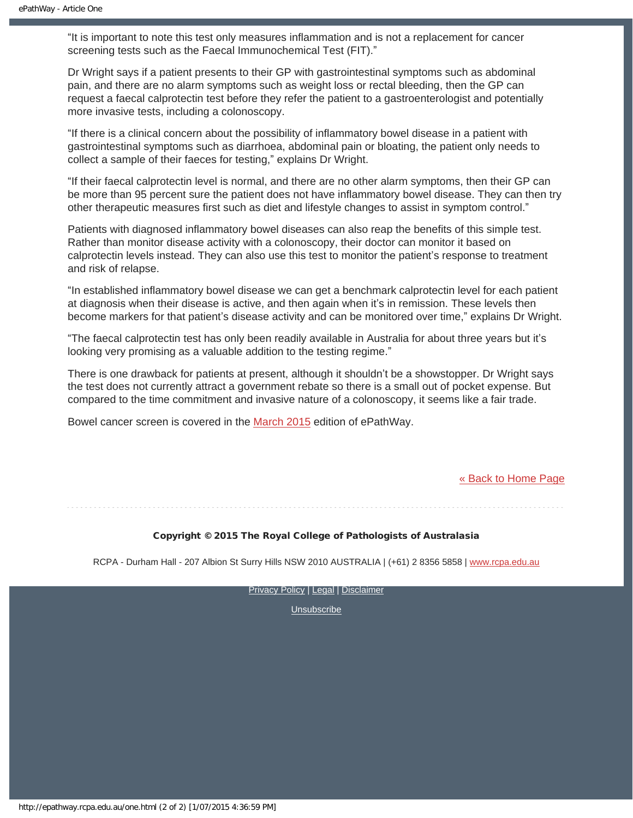"It is important to note this test only measures inflammation and is not a replacement for cancer screening tests such as the Faecal Immunochemical Test (FIT)."

Dr Wright says if a patient presents to their GP with gastrointestinal symptoms such as abdominal pain, and there are no alarm symptoms such as weight loss or rectal bleeding, then the GP can request a faecal calprotectin test before they refer the patient to a gastroenterologist and potentially more invasive tests, including a colonoscopy.

"If there is a clinical concern about the possibility of inflammatory bowel disease in a patient with gastrointestinal symptoms such as diarrhoea, abdominal pain or bloating, the patient only needs to collect a sample of their faeces for testing," explains Dr Wright.

"If their faecal calprotectin level is normal, and there are no other alarm symptoms, then their GP can be more than 95 percent sure the patient does not have inflammatory bowel disease. They can then try other therapeutic measures first such as diet and lifestyle changes to assist in symptom control."

Patients with diagnosed inflammatory bowel diseases can also reap the benefits of this simple test. Rather than monitor disease activity with a colonoscopy, their doctor can monitor it based on calprotectin levels instead. They can also use this test to monitor the patient's response to treatment and risk of relapse.

"In established inflammatory bowel disease we can get a benchmark calprotectin level for each patient at diagnosis when their disease is active, and then again when it's in remission. These levels then become markers for that patient's disease activity and can be monitored over time," explains Dr Wright.

"The faecal calprotectin test has only been readily available in Australia for about three years but it's looking very promising as a valuable addition to the testing regime."

There is one drawback for patients at present, although it shouldn't be a showstopper. Dr Wright says the test does not currently attract a government rebate so there is a small out of pocket expense. But compared to the time commitment and invasive nature of a colonoscopy, it seems like a fair trade.

Bowel cancer screen is covered in the [March 2015](https://www.rcpa.edu.au/getattachment/d2f490a8-899e-4eda-b0dc-824eabeba769/ePathway-Issue-45.aspx) edition of ePathWay.

#### [« Back to Home Page](http://epathway.rcpa.edu.au/index.html)

#### Copyright © 2015 The Royal College of Pathologists of Australasia

RCPA - Durham Hall - 207 Albion St Surry Hills NSW 2010 AUSTRALIA | (+61) 2 8356 5858 | [www.rcpa.edu.au](http://www.rcpa.edu.au/)

[Privacy Policy](http://www.rcpa.edu.au/Content-Library/Privacy.aspx) | [Legal](http://www.rcpa.edu.au/Legal.aspx) | [Disclaimer](http://www.rcpa.edu.au/Disclaimer.aspx)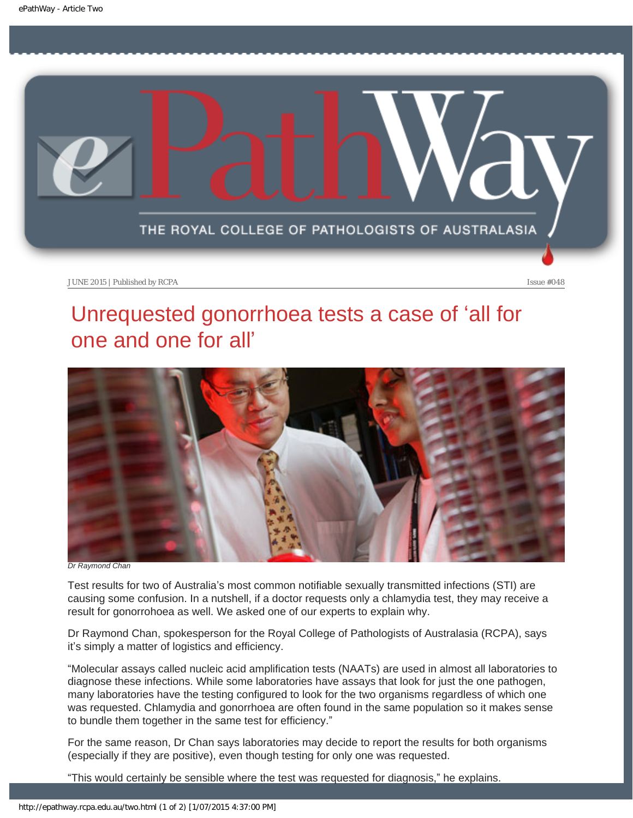<span id="page-8-0"></span>

## Unrequested gonorrhoea tests a case of 'all for one and one for all'



*Dr Raymond Chan*

Test results for two of Australia's most common notifiable sexually transmitted infections (STI) are causing some confusion. In a nutshell, if a doctor requests only a chlamydia test, they may receive a result for gonorrohoea as well. We asked one of our experts to explain why.

Dr Raymond Chan, spokesperson for the Royal College of Pathologists of Australasia (RCPA), says it's simply a matter of logistics and efficiency.

"Molecular assays called nucleic acid amplification tests (NAATs) are used in almost all laboratories to diagnose these infections. While some laboratories have assays that look for just the one pathogen, many laboratories have the testing configured to look for the two organisms regardless of which one was requested. Chlamydia and gonorrhoea are often found in the same population so it makes sense to bundle them together in the same test for efficiency."

For the same reason, Dr Chan says laboratories may decide to report the results for both organisms (especially if they are positive), even though testing for only one was requested.

"This would certainly be sensible where the test was requested for diagnosis," he explains.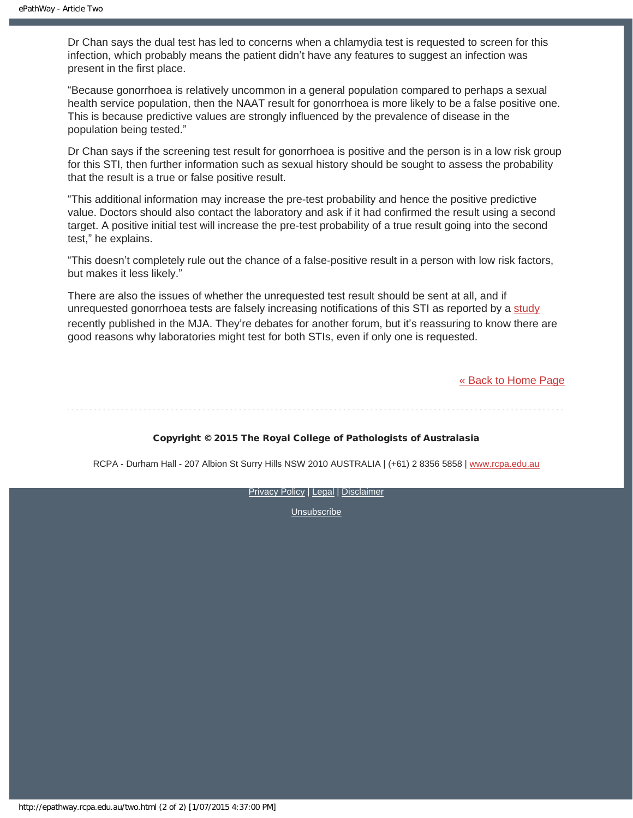Dr Chan says the dual test has led to concerns when a chlamydia test is requested to screen for this infection, which probably means the patient didn't have any features to suggest an infection was present in the first place.

"Because gonorrhoea is relatively uncommon in a general population compared to perhaps a sexual health service population, then the NAAT result for gonorrhoea is more likely to be a false positive one. This is because predictive values are strongly influenced by the prevalence of disease in the population being tested."

Dr Chan says if the screening test result for gonorrhoea is positive and the person is in a low risk group for this STI, then further information such as sexual history should be sought to assess the probability that the result is a true or false positive result.

"This additional information may increase the pre-test probability and hence the positive predictive value. Doctors should also contact the laboratory and ask if it had confirmed the result using a second target. A positive initial test will increase the pre-test probability of a true result going into the second test," he explains.

"This doesn't completely rule out the chance of a false-positive result in a person with low risk factors, but makes it less likely."

There are also the issues of whether the unrequested test result should be sent at all, and if unrequested gonorrhoea tests are falsely increasing notifications of this STI as reported by a [study](https://www.mja.com.au/journal/2015/202/6/gonorrhoea-notifications-and-nucleic-acid-amplification-testing-very-low) recently published in the MJA. They're debates for another forum, but it's reassuring to know there are good reasons why laboratories might test for both STIs, even if only one is requested.

[« Back to Home Page](http://epathway.rcpa.edu.au/index.html)

#### Copyright © 2015 The Royal College of Pathologists of Australasia

RCPA - Durham Hall - 207 Albion St Surry Hills NSW 2010 AUSTRALIA | (+61) 2 8356 5858 | [www.rcpa.edu.au](http://www.rcpa.edu.au/)

[Privacy Policy](http://www.rcpa.edu.au/Content-Library/Privacy.aspx) | [Legal](http://www.rcpa.edu.au/Legal.aspx) | [Disclaimer](http://www.rcpa.edu.au/Disclaimer.aspx)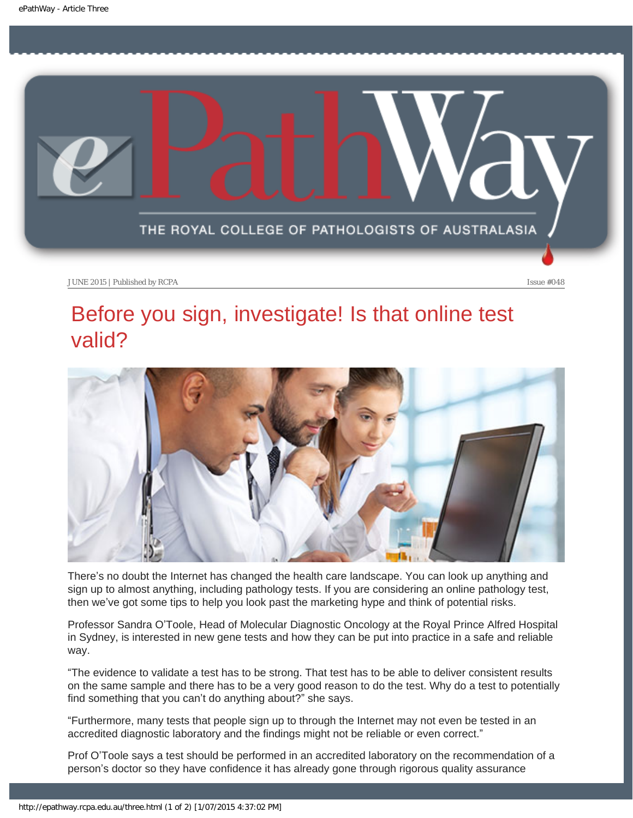<span id="page-10-0"></span>

### Before you sign, investigate! Is that online test valid?



There's no doubt the Internet has changed the health care landscape. You can look up anything and sign up to almost anything, including pathology tests. If you are considering an online pathology test, then we've got some tips to help you look past the marketing hype and think of potential risks.

Professor Sandra O'Toole, Head of Molecular Diagnostic Oncology at the Royal Prince Alfred Hospital in Sydney, is interested in new gene tests and how they can be put into practice in a safe and reliable way.

"The evidence to validate a test has to be strong. That test has to be able to deliver consistent results on the same sample and there has to be a very good reason to do the test. Why do a test to potentially find something that you can't do anything about?" she says.

"Furthermore, many tests that people sign up to through the Internet may not even be tested in an accredited diagnostic laboratory and the findings might not be reliable or even correct."

Prof O'Toole says a test should be performed in an accredited laboratory on the recommendation of a person's doctor so they have confidence it has already gone through rigorous quality assurance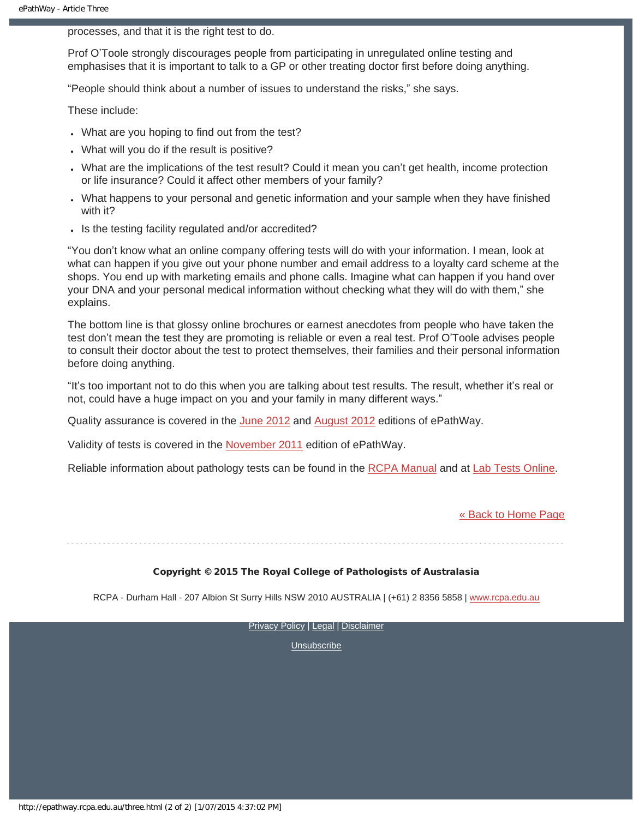processes, and that it is the right test to do.

Prof O'Toole strongly discourages people from participating in unregulated online testing and emphasises that it is important to talk to a GP or other treating doctor first before doing anything.

"People should think about a number of issues to understand the risks," she says.

These include:

- What are you hoping to find out from the test?
- What will you do if the result is positive?
- What are the implications of the test result? Could it mean you can't get health, income protection or life insurance? Could it affect other members of your family?
- What happens to your personal and genetic information and your sample when they have finished with it?
- Is the testing facility regulated and/or accredited?

"You don't know what an online company offering tests will do with your information. I mean, look at what can happen if you give out your phone number and email address to a loyalty card scheme at the shops. You end up with marketing emails and phone calls. Imagine what can happen if you hand over your DNA and your personal medical information without checking what they will do with them," she explains.

The bottom line is that glossy online brochures or earnest anecdotes from people who have taken the test don't mean the test they are promoting is reliable or even a real test. Prof O'Toole advises people to consult their doctor about the test to protect themselves, their families and their personal information before doing anything.

"It's too important not to do this when you are talking about test results. The result, whether it's real or not, could have a huge impact on you and your family in many different ways."

Quality assurance is covered in the [June 2012](https://www.rcpa.edu.au/getattachment/a79a4e4a-3bc9-4268-a9a7-d8e1b033bf53/ePathway-Issue-015.aspx) and [August 2012](https://www.rcpa.edu.au/getattachment/e0fcc024-09f6-4815-89aa-8ecd3e47194b/ePathway-Issue-017.aspx) editions of ePathWay.

Validity of tests is covered in the [November 2011](https://www.rcpa.edu.au/getattachment/27225d76-8069-4c17-b5fd-2fdca031064d/ePathway-Issue-009.aspx) edition of ePathWay.

Reliable information about pathology tests can be found in the [RCPA Manual](https://www.rcpa.edu.au/Library/Practising-Pathology/RCPA-Manual/Home) and at [Lab Tests Online.](http://www.labtestsonline.org.au/)

[« Back to Home Page](http://epathway.rcpa.edu.au/index.html)

#### Copyright © 2015 The Royal College of Pathologists of Australasia

RCPA - Durham Hall - 207 Albion St Surry Hills NSW 2010 AUSTRALIA | (+61) 2 8356 5858 | [www.rcpa.edu.au](http://www.rcpa.edu.au/)

[Privacy Policy](http://www.rcpa.edu.au/Content-Library/Privacy.aspx) | [Legal](http://www.rcpa.edu.au/Legal.aspx) | [Disclaimer](http://www.rcpa.edu.au/Disclaimer.aspx)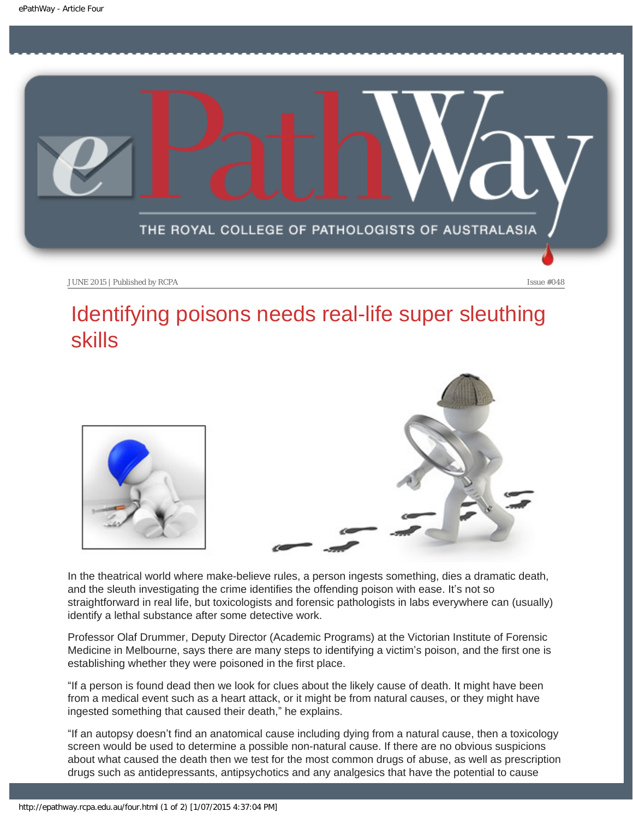<span id="page-12-0"></span>

## Identifying poisons needs real-life super sleuthing skills



In the theatrical world where make-believe rules, a person ingests something, dies a dramatic death, and the sleuth investigating the crime identifies the offending poison with ease. It's not so straightforward in real life, but toxicologists and forensic pathologists in labs everywhere can (usually) identify a lethal substance after some detective work.

Professor Olaf Drummer, Deputy Director (Academic Programs) at the Victorian Institute of Forensic Medicine in Melbourne, says there are many steps to identifying a victim's poison, and the first one is establishing whether they were poisoned in the first place.

"If a person is found dead then we look for clues about the likely cause of death. It might have been from a medical event such as a heart attack, or it might be from natural causes, or they might have ingested something that caused their death," he explains.

"If an autopsy doesn't find an anatomical cause including dying from a natural cause, then a toxicology screen would be used to determine a possible non-natural cause. If there are no obvious suspicions about what caused the death then we test for the most common drugs of abuse, as well as prescription drugs such as antidepressants, antipsychotics and any analgesics that have the potential to cause